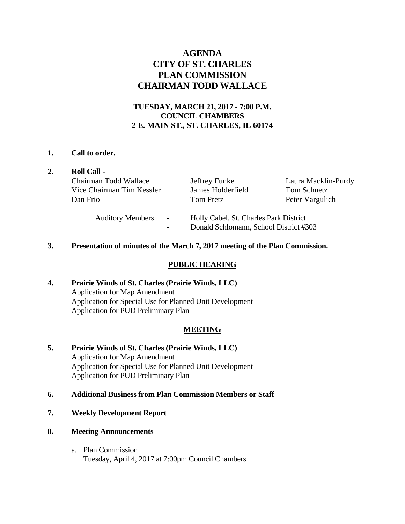# **AGENDA CITY OF ST. CHARLES PLAN COMMISSION CHAIRMAN TODD WALLACE**

# **TUESDAY, MARCH 21, 2017 - 7:00 P.M. COUNCIL CHAMBERS 2 E. MAIN ST., ST. CHARLES, IL 60174**

### **1. Call to order.**

| $\overline{2}$ . | <b>Roll Call -</b><br>Chairman Todd Wallace<br>Vice Chairman Tim Kessler<br>Dan Frio | Jeffrey Funke<br>James Holderfield<br><b>Tom Pretz</b>                           | Laura Macklin-Purdy<br><b>Tom Schuetz</b><br>Peter Vargulich |
|------------------|--------------------------------------------------------------------------------------|----------------------------------------------------------------------------------|--------------------------------------------------------------|
|                  | <b>Auditory Members</b><br>$\overline{\phantom{a}}$                                  | Holly Cabel, St. Charles Park District<br>Donald Schlomann, School District #303 |                                                              |

### **3. Presentation of minutes of the March 7, 2017 meeting of the Plan Commission.**

## **PUBLIC HEARING**

**4. Prairie Winds of St. Charles (Prairie Winds, LLC)**  Application for Map Amendment Application for Special Use for Planned Unit Development Application for PUD Preliminary Plan

# **MEETING**

- **5. Prairie Winds of St. Charles (Prairie Winds, LLC)**  Application for Map Amendment Application for Special Use for Planned Unit Development Application for PUD Preliminary Plan
- **6. Additional Business from Plan Commission Members or Staff**
- **7. Weekly Development Report**
- **8. Meeting Announcements** 
	- a. Plan Commission Tuesday, April 4, 2017 at 7:00pm Council Chambers